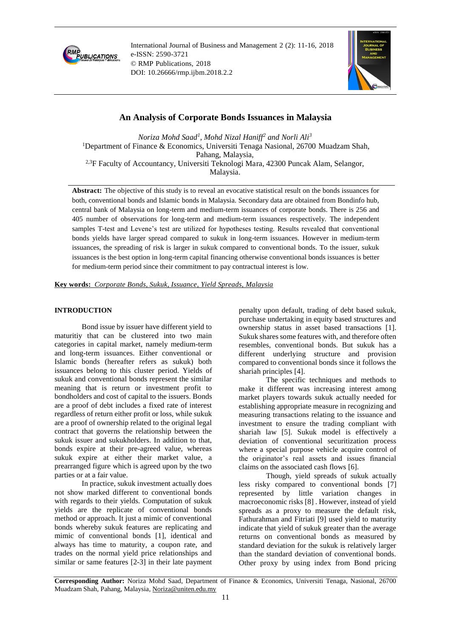

International Journal of Business and Management 2 (2): 11-16, 2018 e-ISSN: 2590-3721 © RMP Publications, 2018 DOI: 10.26666/rmp.ijbm.2018.2.2



# **An Analysis of Corporate Bonds Issuances in Malaysia**

*Noriza Mohd Saad<sup>1</sup> , Mohd Nizal Haniff<sup>2</sup> and Norli Ali<sup>3</sup>* <sup>1</sup>Department of Finance & Economics, Universiti Tenaga Nasional, 26700 Muadzam Shah, Pahang, Malaysia, 2,3F Faculty of Accountancy, Universiti Teknologi Mara, 42300 Puncak Alam, Selangor, Malaysia.

**Abstract:** The objective of this study is to reveal an evocative statistical result on the bonds issuances for both, conventional bonds and Islamic bonds in Malaysia. Secondary data are obtained from Bondinfo hub, central bank of Malaysia on long-term and medium-term issuances of corporate bonds. There is 256 and 405 number of observations for long-term and medium-term issuances respectively. The independent samples T-test and Levene's test are utilized for hypotheses testing. Results revealed that conventional bonds yields have larger spread compared to sukuk in long-term issuances. However in medium-term issuances, the spreading of risk is larger in sukuk compared to conventional bonds. To the issuer, sukuk issuances is the best option in long-term capital financing otherwise conventional bonds issuances is better for medium-term period since their commitment to pay contractual interest is low.

**Key words:** *Corporate Bonds, Sukuk, Issuance, Yield Spreads, Malaysia*

## **INTRODUCTION**

Bond issue by issuer have different yield to maturitiy that can be clustered into two main categories in capital market, namely medium-term and long-term issuances. Either conventional or Islamic bonds (hereafter refers as sukuk) both issuances belong to this cluster period. Yields of sukuk and conventional bonds represent the similar meaning that is return or investment profit to bondholders and cost of capital to the issuers. Bonds are a proof of debt includes a fixed rate of interest regardless of return either profit or loss, while sukuk are a proof of ownership related to the original legal contract that governs the relationship between the sukuk issuer and sukukholders. In addition to that, bonds expire at their pre-agreed value, whereas sukuk expire at either their market value, a prearranged figure which is agreed upon by the two parties or at a fair value.

In practice, sukuk investment actually does not show marked different to conventional bonds with regards to their yields. Computation of sukuk yields are the replicate of conventional bonds method or approach. It just a mimic of conventional bonds whereby sukuk features are replicating and mimic of conventional bonds [1], identical and always has time to maturity, a coupon rate, and trades on the normal yield price relationships and similar or same features [2-3] in their late payment penalty upon default, trading of debt based sukuk, purchase undertaking in equity based structures and ownership status in asset based transactions [1]. Sukuk shares some features with, and therefore often resembles, conventional bonds. But sukuk has a different underlying structure and provision compared to conventional bonds since it follows the shariah principles [4].

The specific techniques and methods to make it different was increasing interest among market players towards sukuk actually needed for establishing appropriate measure in recognizing and measuring transactions relating to the issuance and investment to ensure the trading compliant with shariah law [5]. Sukuk model is effectively a deviation of conventional securitization process where a special purpose vehicle acquire control of the originator's real assets and issues financial claims on the associated cash flows [6].

Though, yield spreads of sukuk actually less risky compared to conventional bonds [7] represented by little variation changes in macroeconomic risks [8] . However, instead of yield spreads as a proxy to measure the default risk, Fathurahman and Fitriati [9] used yield to maturity indicate that yield of sukuk greater than the average returns on conventional bonds as measured by standard deviation for the sukuk is relatively larger than the standard deviation of conventional bonds. Other proxy by using index from Bond pricing

**Corresponding Author:** Noriza Mohd Saad, Department of Finance & Economics, Universiti Tenaga, Nasional, 26700 Muadzam Shah, Pahang, Malaysia, [Noriza@uniten.edu.my](mailto:Noriza@uniten.edu.my)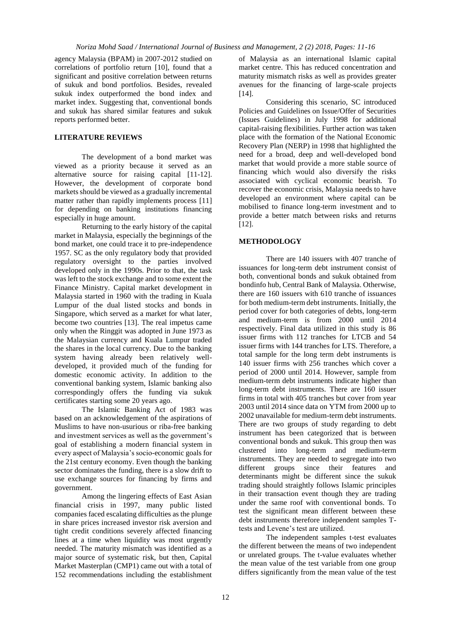agency Malaysia (BPAM) in 2007-2012 studied on correlations of portfolio return [10], found that a significant and positive correlation between returns of sukuk and bond portfolios. Besides, revealed sukuk index outperformed the bond index and market index. Suggesting that, conventional bonds and sukuk has shared similar features and sukuk reports performed better.

# **LITERATURE REVIEWS**

The development of a bond market was viewed as a priority because it served as an alternative source for raising capital [11-12]. However, the development of corporate bond markets should be viewed as a gradually incremental matter rather than rapidly implements process [11] for depending on banking institutions financing especially in huge amount.

Returning to the early history of the capital market in Malaysia, especially the beginnings of the bond market, one could trace it to pre-independence 1957. SC as the only regulatory body that provided regulatory oversight to the parties involved developed only in the 1990s. Prior to that, the task was left to the stock exchange and to some extent the Finance Ministry. Capital market development in Malaysia started in 1960 with the trading in Kuala Lumpur of the dual listed stocks and bonds in Singapore, which served as a market for what later, become two countries [13]. The real impetus came only when the Ringgit was adopted in June 1973 as the Malaysian currency and Kuala Lumpur traded the shares in the local currency. Due to the banking system having already been relatively welldeveloped, it provided much of the funding for domestic economic activity. In addition to the conventional banking system, Islamic banking also correspondingly offers the funding via sukuk certificates starting some 20 years ago.

The Islamic Banking Act of 1983 was based on an acknowledgement of the aspirations of Muslims to have non-usurious or riba-free banking and investment services as well as the government's goal of establishing a modern financial system in every aspect of Malaysia's socio-economic goals for the 21st century economy. Even though the banking sector dominates the funding, there is a slow drift to use exchange sources for financing by firms and government.

Among the lingering effects of East Asian financial crisis in 1997, many public listed companies faced escalating difficulties as the plunge in share prices increased investor risk aversion and tight credit conditions severely affected financing lines at a time when liquidity was most urgently needed. The maturity mismatch was identified as a major source of systematic risk, but then, Capital Market Masterplan (CMP1) came out with a total of 152 recommendations including the establishment

of Malaysia as an international Islamic capital market centre. This has reduced concentration and maturity mismatch risks as well as provides greater avenues for the financing of large-scale projects [14].

Considering this scenario, SC introduced Policies and Guidelines on Issue/Offer of Securities (Issues Guidelines) in July 1998 for additional capital-raising flexibilities. Further action was taken place with the formation of the National Economic Recovery Plan (NERP) in 1998 that highlighted the need for a broad, deep and well-developed bond market that would provide a more stable source of financing which would also diversify the risks associated with cyclical economic bearish. To recover the economic crisis, Malaysia needs to have developed an environment where capital can be mobilised to finance long-term investment and to provide a better match between risks and returns [12].

## **METHODOLOGY**

There are 140 issuers with 407 tranche of issuances for long-term debt instrument consist of both, conventional bonds and sukuk obtained from bondinfo hub, Central Bank of Malaysia. Otherwise, there are 160 issuers with 610 tranche of issuances for both medium-term debt instruments. Initially, the period cover for both categories of debts, long-term and medium-term is from 2000 until 2014 respectively. Final data utilized in this study is 86 issuer firms with 112 tranches for LTCB and 54 issuer firms with 144 tranches for LTS. Therefore, a total sample for the long term debt instruments is 140 issuer firms with 256 tranches which cover a period of 2000 until 2014. However, sample from medium-term debt instruments indicate higher than long-term debt instruments. There are 160 issuer firms in total with 405 tranches but cover from year 2003 until 2014 since data on YTM from 2000 up to 2002 unavailable for medium-term debt instruments. There are two groups of study regarding to debt instrument has been categorized that is between conventional bonds and sukuk. This group then was clustered into long-term and medium-term instruments. They are needed to segregate into two different groups since their features and determinants might be different since the sukuk trading should straightly follows Islamic principles in their transaction event though they are trading under the same roof with conventional bonds. To test the significant mean different between these debt instruments therefore independent samples Ttests and Levene's test are utilized.

The independent samples t-test evaluates the different between the means of two independent or unrelated groups. The t-value evaluates whether the mean value of the test variable from one group differs significantly from the mean value of the test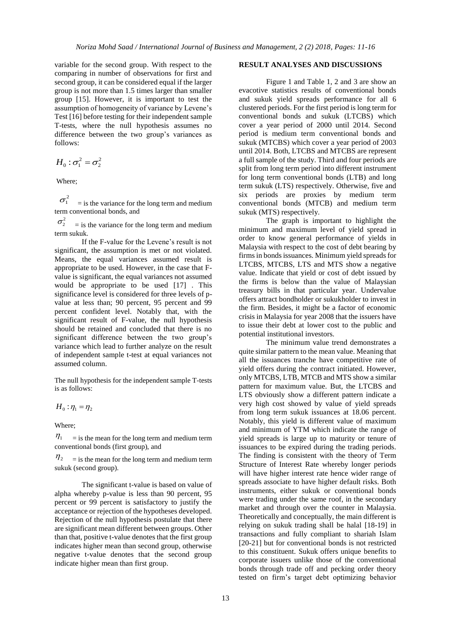variable for the second group. With respect to the comparing in number of observations for first and second group, it can be considered equal if the larger group is not more than 1.5 times larger than smaller group [15]. However, it is important to test the assumption of homogeneity of variance by Levene's Test [16] before testing for their independent sample T-tests, where the null hypothesis assumes no difference between the two group's variances as follows:

$$
H_0: \sigma_1^2 = \sigma_2^2
$$

Where;

 $\sigma_1^2$  = is the variance for the long term and medium term conventional bonds, and

 $\sigma_2^2$  = is the variance for the long term and medium term sukuk.

If the F-value for the Levene's result is not significant, the assumption is met or not violated. Means, the equal variances assumed result is appropriate to be used. However, in the case that Fvalue is significant, the equal variances not assumed would be appropriate to be used [17] . This significance level is considered for three levels of pvalue at less than; 90 percent, 95 percent and 99 percent confident level. Notably that, with the significant result of F-value, the null hypothesis should be retained and concluded that there is no significant difference between the two group's variance which lead to further analyze on the result of independent sample t-test at equal variances not assumed column.

The null hypothesis for the independent sample T-tests is as follows:

$$
H_0: \eta_1 = \eta_2
$$

Where;

 $\eta_1$  = is the mean for the long term and medium term conventional bonds (first group), and

 $\eta_2$  = is the mean for the long term and medium term sukuk (second group).

The significant t-value is based on value of alpha whereby p-value is less than 90 percent, 95 percent or 99 percent is satisfactory to justify the acceptance or rejection of the hypotheses developed. Rejection of the null hypothesis postulate that there are significant mean different between groups. Other than that, positive t-value denotes that the first group indicates higher mean than second group, otherwise negative t-value denotes that the second group indicate higher mean than first group.

#### **RESULT ANALYSES AND DISCUSSIONS**

Figure 1 and Table 1, 2 and 3 are show an evacotive statistics results of conventional bonds and sukuk yield spreads performance for all 6 clustered periods. For the first period is long term for conventional bonds and sukuk (LTCBS) which cover a year period of 2000 until 2014. Second period is medium term conventional bonds and sukuk (MTCBS) which cover a year period of 2003 until 2014. Both, LTCBS and MTCBS are represent a full sample of the study. Third and four periods are split from long term period into different instrument for long term conventional bonds (LTB) and long term sukuk (LTS) respectively. Otherwise, five and six periods are proxies by medium term conventional bonds (MTCB) and medium term sukuk (MTS) respectively.

The graph is important to highlight the minimum and maximum level of yield spread in order to know general performance of yields in Malaysia with respect to the cost of debt bearing by firms in bonds issuances. Minimum yield spreads for LTCBS, MTCBS, LTS and MTS show a negative value. Indicate that yield or cost of debt issued by the firms is below than the value of Malaysian treasury bills in that particular year. Undervalue offers attract bondholder or sukukholder to invest in the firm. Besides, it might be a factor of economic crisis in Malaysia for year 2008 that the issuers have to issue their debt at lower cost to the public and potential institutional investors.

The minimum value trend demonstrates a quite similar pattern to the mean value. Meaning that all the issuances tranche have competitive rate of yield offers during the contract initiated. However, only MTCBS, LTB, MTCB and MTS show a similar pattern for maximum value. But, the LTCBS and LTS obviously show a different pattern indicate a very high cost showed by value of yield spreads from long term sukuk issuances at 18.06 percent. Notably, this yield is different value of maximum and minimum of YTM which indicate the range of yield spreads is large up to maturity or tenure of issuances to be expired during the trading periods. The finding is consistent with the theory of Term Structure of Interest Rate whereby longer periods will have higher interest rate hence wider range of spreads associate to have higher default risks. Both instruments, either sukuk or conventional bonds were trading under the same roof, in the secondary market and through over the counter in Malaysia. Theoretically and conceptually, the main different is relying on sukuk trading shall be halal [18-19] in transactions and fully compliant to shariah Islam [20-21] but for conventional bonds is not restricted to this constituent. Sukuk offers unique benefits to corporate issuers unlike those of the conventional bonds through trade off and pecking order theory tested on firm's target debt optimizing behavior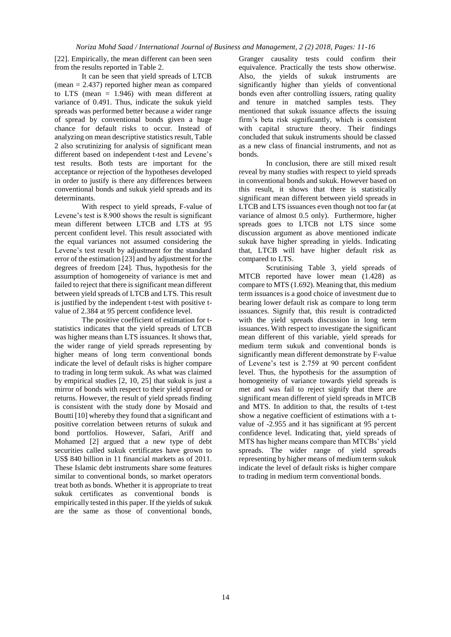[22]. Empirically, the mean different can been seen from the results reported in Table 2.

It can be seen that yield spreads of LTCB (mean = 2.437) reported higher mean as compared to LTS (mean = 1.946) with mean different at variance of 0.491. Thus, indicate the sukuk yield spreads was performed better because a wider range of spread by conventional bonds given a huge chance for default risks to occur. Instead of analyzing on mean descriptive statistics result, Table 2 also scrutinizing for analysis of significant mean different based on independent t-test and Levene's test results. Both tests are important for the acceptance or rejection of the hypotheses developed in order to justify is there any differences between conventional bonds and sukuk yield spreads and its determinants.

With respect to yield spreads, F-value of Levene's test is 8.900 shows the result is significant mean different between LTCB and LTS at 95 percent confident level. This result associated with the equal variances not assumed considering the Levene's test result by adjustment for the standard error of the estimation [23] and by adjustment for the degrees of freedom [24]. Thus, hypothesis for the assumption of homogeneity of variance is met and failed to reject that there is significant mean different between yield spreads of LTCB and LTS. This result is justified by the independent t-test with positive tvalue of 2.384 at 95 percent confidence level.

The positive coefficient of estimation for tstatistics indicates that the yield spreads of LTCB was higher means than LTS issuances. It shows that, the wider range of yield spreads representing by higher means of long term conventional bonds indicate the level of default risks is higher compare to trading in long term sukuk. As what was claimed by empirical studies [2, 10, 25] that sukuk is just a mirror of bonds with respect to their yield spread or returns. However, the result of yield spreads finding is consistent with the study done by Mosaid and Boutti [10] whereby they found that a significant and positive correlation between returns of sukuk and bond portfolios. However, Safari, Ariff and Mohamed [2] argued that a new type of debt securities called sukuk certificates have grown to US\$ 840 billion in 11 financial markets as of 2011. These Islamic debt instruments share some features similar to conventional bonds, so market operators treat both as bonds. Whether it is appropriate to treat sukuk certificates as conventional bonds is empirically tested in this paper. If the yields of sukuk are the same as those of conventional bonds,

Granger causality tests could confirm their equivalence. Practically the tests show otherwise. Also, the yields of sukuk instruments are significantly higher than yields of conventional bonds even after controlling issuers, rating quality and tenure in matched samples tests. They mentioned that sukuk issuance affects the issuing firm's beta risk significantly, which is consistent with capital structure theory. Their findings concluded that sukuk instruments should be classed as a new class of financial instruments, and not as bonds.

In conclusion, there are still mixed result reveal by many studies with respect to yield spreads in conventional bonds and sukuk. However based on this result, it shows that there is statistically significant mean different between yield spreads in LTCB and LTS issuances even though not too far (at variance of almost 0.5 only). Furthermore, higher spreads goes to LTCB not LTS since some discussion argument as above mentioned indicate sukuk have higher spreading in yields. Indicating that, LTCB will have higher default risk as compared to LTS.

Scrutinising Table 3, yield spreads of MTCB reported have lower mean (1.428) as compare to MTS (1.692). Meaning that, this medium term issuances is a good choice of investment due to bearing lower default risk as compare to long term issuances. Signify that, this result is contradicted with the yield spreads discussion in long term issuances. With respect to investigate the significant mean different of this variable, yield spreads for medium term sukuk and conventional bonds is significantly mean different demonstrate by F-value of Levene's test is 2.759 at 90 percent confident level. Thus, the hypothesis for the assumption of homogeneity of variance towards yield spreads is met and was fail to reject signify that there are significant mean different of yield spreads in MTCB and MTS. In addition to that, the results of t-test show a negative coefficient of estimations with a tvalue of -2.955 and it has significant at 95 percent confidence level. Indicating that, yield spreads of MTS has higher means compare than MTCBs' yield spreads. The wider range of yield spreads representing by higher means of medium term sukuk indicate the level of default risks is higher compare to trading in medium term conventional bonds.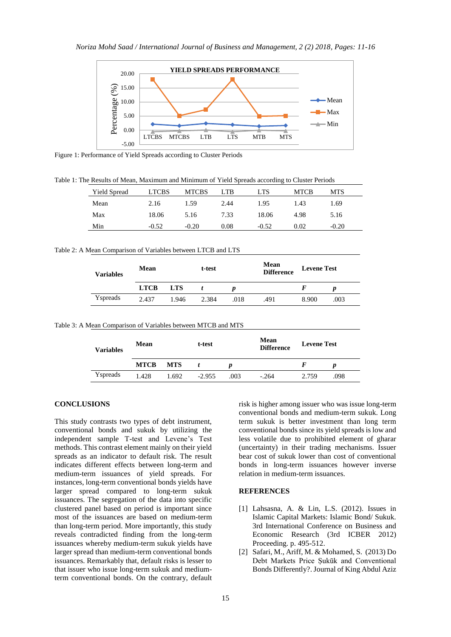

Figure 1: Performance of Yield Spreads according to Cluster Periods

Table 1: The Results of Mean, Maximum and Minimum of Yield Spreads according to Cluster Periods

| <b>Yield Spread</b> | <b>LTCBS</b> | <b>MTCBS</b> | LTB  | <b>LTS</b> | <b>MTCB</b> | MTS     |
|---------------------|--------------|--------------|------|------------|-------------|---------|
| Mean                | 2.16         | 1.59         | 2.44 | 1.95       | 1.43        | 1.69    |
| Max                 | 18.06        | 5.16         | 7.33 | 18.06      | 4.98        | 5.16    |
| Min                 | $-0.52$      | $-0.20$      | 0.08 | $-0.52$    | 0.02        | $-0.20$ |

| Table 2: A Mean Comparison of Variables between LTCB and LTS |  |  |  |  |  |
|--------------------------------------------------------------|--|--|--|--|--|
|--------------------------------------------------------------|--|--|--|--|--|

| <b>Variables</b> | Mean        |            | t-test |      | Mean<br><b>Difference</b> | <b>Levene Test</b> |      |
|------------------|-------------|------------|--------|------|---------------------------|--------------------|------|
|                  | <b>LTCB</b> | <b>LTS</b> |        |      |                           |                    |      |
| Yspreads         | 2.437       | 1.946      | 2.384  | .018 | .491                      | 8.900              | .003 |

Table 3: A Mean Comparison of Variables between MTCB and MTS

| <b>Variables</b> | Mean        |            | t-test   |      | Mean<br><b>Difference</b> | <b>Levene Test</b> |      |
|------------------|-------------|------------|----------|------|---------------------------|--------------------|------|
|                  | <b>MTCB</b> | <b>MTS</b> |          |      |                           | F                  | D    |
| Yspreads         | 1.428       | 1.692      | $-2.955$ | .003 | $-.264$                   | 2.759              | .098 |

#### **CONCLUSIONS**

This study contrasts two types of debt instrument, conventional bonds and sukuk by utilizing the independent sample T-test and Levene's Test methods. This contrast element mainly on their yield spreads as an indicator to default risk. The result indicates different effects between long-term and medium-term issuances of yield spreads. For instances, long-term conventional bonds yields have larger spread compared to long-term sukuk issuances. The segregation of the data into specific clustered panel based on period is important since most of the issuances are based on medium-term than long-term period. More importantly, this study reveals contradicted finding from the long-term issuances whereby medium-term sukuk yields have larger spread than medium-term conventional bonds issuances. Remarkably that, default risks is lesser to that issuer who issue long-term sukuk and mediumterm conventional bonds. On the contrary, default

risk is higher among issuer who was issue long-term conventional bonds and medium-term sukuk. Long term sukuk is better investment than long term conventional bonds since its yield spreads is low and less volatile due to prohibited element of gharar (uncertainty) in their trading mechanisms. Issuer bear cost of sukuk lower than cost of conventional bonds in long-term issuances however inverse relation in medium-term issuances.

#### **REFERENCES**

- [1] Lahsasna, A. & Lin, L.S. (2012). Issues in Islamic Capital Markets: Islamic Bond/ Sukuk. 3rd International Conference on Business and Economic Research (3rd ICBER 2012) Proceeding. p. 495-512.
- [2] Safari, M., Ariff, M. & Mohamed, S. (2013) Do Debt Markets Price Ṣukūk and Conventional Bonds Differently?. Journal of King Abdul Aziz